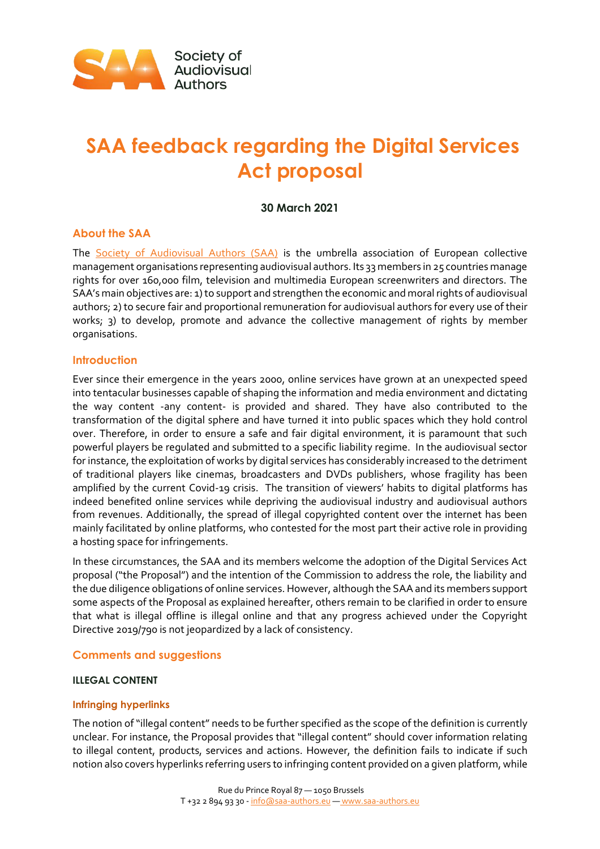

# **SAA feedback regarding the Digital Services Act proposal**

# **30 March 2021**

# **About the SAA**

The [Society of Audiovisual Authors \(SAA\)](https://www.saa-authors.eu/en#.XzvkRqfis2y) is the umbrella association of European collective management organisations representing audiovisual authors. Its 33 members in 25 countries manage rights for over 160,000 film, television and multimedia European screenwriters and directors. The SAA's main objectives are: 1) to support and strengthen the economic and moral rights of audiovisual authors; 2) to secure fair and proportional remuneration for audiovisual authors for every use of their works; 3) to develop, promote and advance the collective management of rights by member organisations.

# **Introduction**

Ever since their emergence in the years 2000, online services have grown at an unexpected speed into tentacular businesses capable of shaping the information and media environment and dictating the way content -any content- is provided and shared. They have also contributed to the transformation of the digital sphere and have turned it into public spaces which they hold control over. Therefore, in order to ensure a safe and fair digital environment, it is paramount that such powerful players be regulated and submitted to a specific liability regime. In the audiovisual sector for instance, the exploitation of works by digital services has considerably increased to the detriment of traditional players like cinemas, broadcasters and DVDs publishers, whose fragility has been amplified by the current Covid-19 crisis. The transition of viewers' habits to digital platforms has indeed benefited online services while depriving the audiovisual industry and audiovisual authors from revenues. Additionally, the spread of illegal copyrighted content over the internet has been mainly facilitated by online platforms, who contested for the most part their active role in providing a hosting space for infringements.

In these circumstances, the SAA and its members welcome the adoption of the Digital Services Act proposal ("the Proposal") and the intention of the Commission to address the role, the liability and the due diligence obligations of online services. However, although the SAA and its members support some aspects of the Proposal as explained hereafter, others remain to be clarified in order to ensure that what is illegal offline is illegal online and that any progress achieved under the Copyright Directive 2019/790 is not jeopardized by a lack of consistency.

# **Comments and suggestions**

#### **ILLEGAL CONTENT**

#### **Infringing hyperlinks**

The notion of "illegal content" needs to be further specified as the scope of the definition is currently unclear. For instance, the Proposal provides that "illegal content" should cover information relating to illegal content, products, services and actions. However, the definition fails to indicate if such notion also covers hyperlinks referring users to infringing content provided on a given platform, while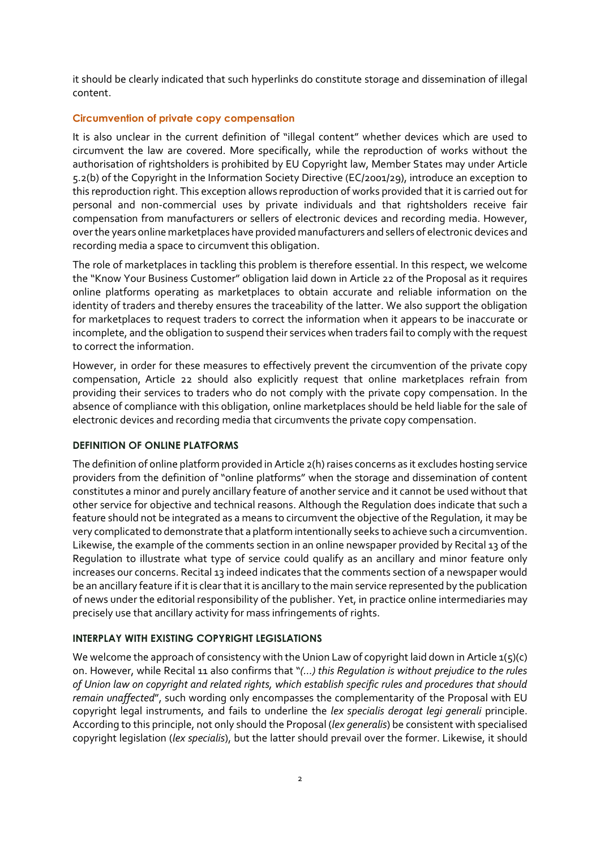it should be clearly indicated that such hyperlinks do constitute storage and dissemination of illegal content.

## **Circumvention of private copy compensation**

It is also unclear in the current definition of "illegal content" whether devices which are used to circumvent the law are covered. More specifically, while the reproduction of works without the authorisation of rightsholders is prohibited by EU Copyright law, Member States may under Article 5.2(b) of the Copyright in the Information Society Directive (EC/2001/29), introduce an exception to this reproduction right. This exception allows reproduction of works provided that it is carried out for personal and non-commercial uses by private individuals and that rightsholders receive fair compensation from manufacturers or sellers of electronic devices and recording media. However, over the years online marketplaces have provided manufacturers and sellers of electronic devices and recording media a space to circumvent this obligation.

The role of marketplaces in tackling this problem is therefore essential. In this respect, we welcome the "Know Your Business Customer" obligation laid down in Article 22 of the Proposal as it requires online platforms operating as marketplaces to obtain accurate and reliable information on the identity of traders and thereby ensures the traceability of the latter. We also support the obligation for marketplaces to request traders to correct the information when it appears to be inaccurate or incomplete, and the obligation to suspend their services when traders fail to comply with the request to correct the information.

However, in order for these measures to effectively prevent the circumvention of the private copy compensation, Article 22 should also explicitly request that online marketplaces refrain from providing their services to traders who do not comply with the private copy compensation. In the absence of compliance with this obligation, online marketplaces should be held liable for the sale of electronic devices and recording media that circumvents the private copy compensation.

#### **DEFINITION OF ONLINE PLATFORMS**

The definition of online platform provided in Article 2(h) raises concerns as it excludes hosting service providers from the definition of "online platforms" when the storage and dissemination of content constitutes a minor and purely ancillary feature of another service and it cannot be used without that other service for objective and technical reasons. Although the Regulation does indicate that such a feature should not be integrated as a means to circumvent the objective of the Regulation, it may be very complicated to demonstrate that a platform intentionally seeks to achieve such a circumvention. Likewise, the example of the comments section in an online newspaper provided by Recital 13 of the Regulation to illustrate what type of service could qualify as an ancillary and minor feature only increases our concerns. Recital 13 indeed indicates that the comments section of a newspaper would be an ancillary feature if it is clear that it is ancillary to the main service represented by the publication of news under the editorial responsibility of the publisher. Yet, in practice online intermediaries may precisely use that ancillary activity for mass infringements of rights.

# **INTERPLAY WITH EXISTING COPYRIGHT LEGISLATIONS**

We welcome the approach of consistency with the Union Law of copyright laid down in Article 1(5)(c) on. However, while Recital 11 also confirms that "*(…) this Regulation is without prejudice to the rules of Union law on copyright and related rights, which establish specific rules and procedures that should remain unaffected*", such wording only encompasses the complementarity of the Proposal with EU copyright legal instruments, and fails to underline the *lex specialis derogat legi generali* principle. According to this principle, not only should the Proposal (*lex generalis*) be consistent with specialised copyright legislation (*lex specialis*), but the latter should prevail over the former. Likewise, it should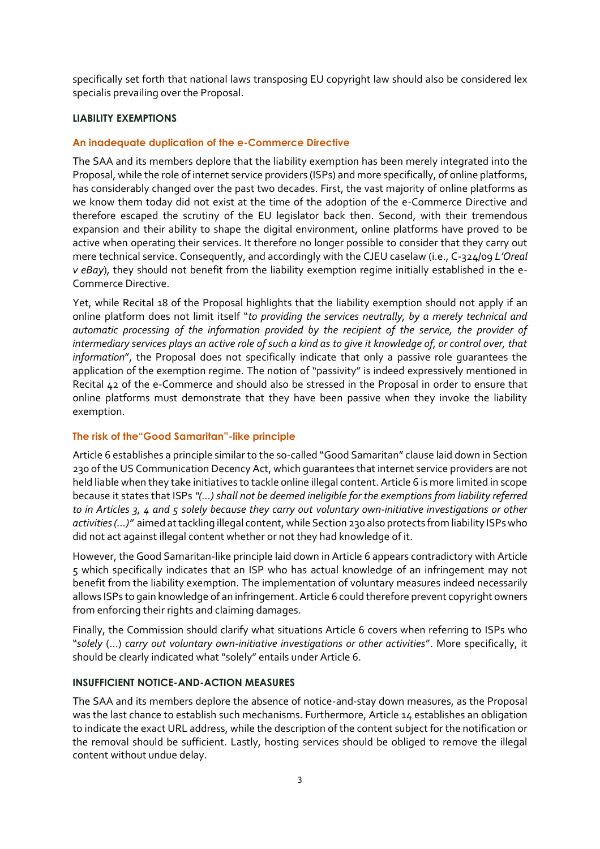specifically set forth that national laws transposing EU copyright law should also be considered lex specialis prevailing over the Proposal.

## **LIABILITY EXEMPTIONS**

## **An inadequate duplication of the e-Commerce Directive**

The SAA and its members deplore that the liability exemption has been merely integrated into the Proposal, while the role of internet service providers (ISPs) and more specifically, of online platforms, has considerably changed over the past two decades. First, the vast majority of online platforms as we know them today did not exist at the time of the adoption of the e-Commerce Directive and therefore escaped the scrutiny of the EU legislator back then. Second, with their tremendous expansion and their ability to shape the digital environment, online platforms have proved to be active when operating their services. It therefore no longer possible to consider that they carry out mere technical service. Consequently, and accordingly with the CJEU caselaw (i.e., C-324/09 *L'Oreal v eBay*), they should not benefit from the liability exemption regime initially established in the e-Commerce Directive.

Yet, while Recital 18 of the Proposal highlights that the liability exemption should not apply if an online platform does not limit itself "*to providing the services neutrally, by a merely technical and automatic processing of the information provided by the recipient of the service, the provider of intermediary services plays an active role of such a kind as to give it knowledge of, or control over, that information*", the Proposal does not specifically indicate that only a passive role guarantees the application of the exemption regime. The notion of "passivity" is indeed expressively mentioned in Recital 42 of the e-Commerce and should also be stressed in the Proposal in order to ensure that online platforms must demonstrate that they have been passive when they invoke the liability exemption.

# **The risk of the"Good Samaritan"-like principle**

Article 6 establishes a principle similar to the so-called "Good Samaritan" clause laid down in Section 230 of the US Communication Decency Act, which guarantees that internet service providers are not held liable when they take initiatives to tackle online illegal content. Article 6 is more limited in scope because it states that ISPs *"(…) shall not be deemed ineligible for the exemptions from liability referred to in Articles 3, 4 and 5 solely because they carry out voluntary own-initiative investigations or other activities (…)"* aimed at tackling illegal content, while Section 230 also protects from liability ISPs who did not act against illegal content whether or not they had knowledge of it.

However, the Good Samaritan-like principle laid down in Article 6 appears contradictory with Article 5 which specifically indicates that an ISP who has actual knowledge of an infringement may not benefit from the liability exemption. The implementation of voluntary measures indeed necessarily allows ISPs to gain knowledge of an infringement. Article 6 could therefore prevent copyright owners from enforcing their rights and claiming damages.

Finally, the Commission should clarify what situations Article 6 covers when referring to ISPs who "*solely* (…) *carry out voluntary own-initiative investigations or other activities*". More specifically, it should be clearly indicated what "solely" entails under Article 6.

#### **INSUFFICIENT NOTICE-AND-ACTION MEASURES**

The SAA and its members deplore the absence of notice-and-stay down measures, as the Proposal was the last chance to establish such mechanisms. Furthermore, Article 14 establishes an obligation to indicate the exact URL address, while the description of the content subject for the notification or the removal should be sufficient. Lastly, hosting services should be obliged to remove the illegal content without undue delay.